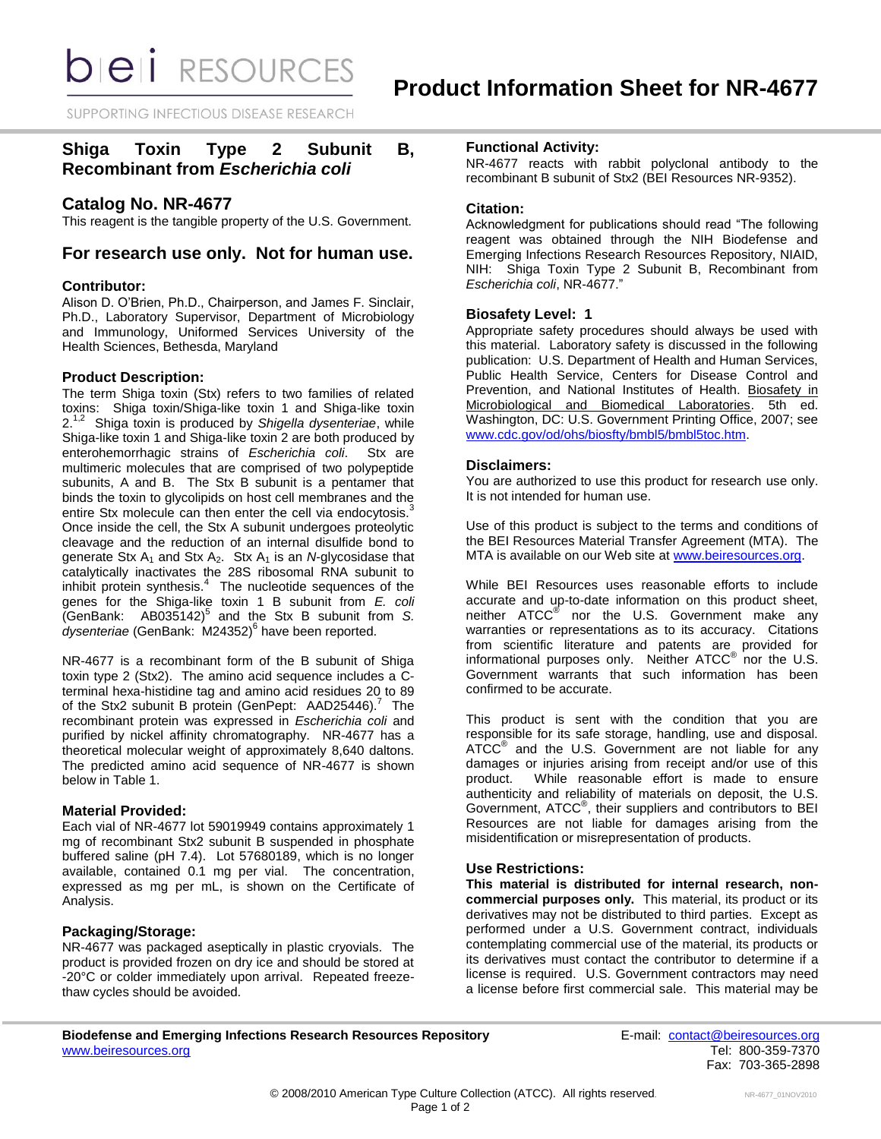*DIEI RESOURCES* 

SUPPORTING INFECTIOUS DISEASE RESEARCH

# **Shiga Toxin Type 2 Subunit B, Recombinant from** *Escherichia coli*

# **Catalog No. NR-4677**

This reagent is the tangible property of the U.S. Government.

# **For research use only. Not for human use.**

# **Contributor:**

Alison D. O'Brien, Ph.D., Chairperson, and James F. Sinclair, Ph.D., Laboratory Supervisor, Department of Microbiology and Immunology, Uniformed Services University of the Health Sciences, Bethesda, Maryland

## **Product Description:**

The term Shiga toxin (Stx) refers to two families of related toxins: Shiga toxin/Shiga-like toxin 1 and Shiga-like toxin 2.1,2 Shiga toxin is produced by *Shigella dysenteriae*, while Shiga-like toxin 1 and Shiga-like toxin 2 are both produced by enterohemorrhagic strains of *Escherichia coli*. Stx are multimeric molecules that are comprised of two polypeptide subunits, A and B. The Stx B subunit is a pentamer that binds the toxin to glycolipids on host cell membranes and the entire Stx molecule can then enter the cell via endocytosis.<sup>3</sup> Once inside the cell, the Stx A subunit undergoes proteolytic cleavage and the reduction of an internal disulfide bond to generate Stx  $A_1$  and Stx  $A_2$ . Stx  $A_1$  is an *N*-glycosidase that catalytically inactivates the 28S ribosomal RNA subunit to inhibit protein synthesis. $4$  The nucleotide sequences of the genes for the Shiga-like toxin 1 B subunit from *E. coli*  (GenBank: AB035142)<sup>5</sup> and the Stx B subunit from *S.*  dysenteriae (GenBank: M24352)<sup>6</sup> have been reported.

NR-4677 is a recombinant form of the B subunit of Shiga toxin type 2 (Stx2). The amino acid sequence includes a Cterminal hexa-histidine tag and amino acid residues 20 to 89 of the Stx2 subunit B protein (GenPept: AAD25446).<sup>7</sup> The recombinant protein was expressed in *Escherichia coli* and purified by nickel affinity chromatography. NR-4677 has a theoretical molecular weight of approximately 8,640 daltons. The predicted amino acid sequence of NR-4677 is shown below in Table 1.

# **Material Provided:**

Each vial of NR-4677 lot 59019949 contains approximately 1 mg of recombinant Stx2 subunit B suspended in phosphate buffered saline (pH 7.4). Lot 57680189, which is no longer available, contained 0.1 mg per vial. The concentration, expressed as mg per mL, is shown on the Certificate of Analysis.

# **Packaging/Storage:**

NR-4677 was packaged aseptically in plastic cryovials. The product is provided frozen on dry ice and should be stored at -20°C or colder immediately upon arrival. Repeated freezethaw cycles should be avoided.

# **Functional Activity:**

NR-4677 reacts with rabbit polyclonal antibody to the recombinant B subunit of Stx2 (BEI Resources NR-9352).

## **Citation:**

Acknowledgment for publications should read "The following reagent was obtained through the NIH Biodefense and Emerging Infections Research Resources Repository, NIAID, NIH: Shiga Toxin Type 2 Subunit B, Recombinant from *Escherichia coli*, NR-4677."

## **Biosafety Level: 1**

Appropriate safety procedures should always be used with this material. Laboratory safety is discussed in the following publication: U.S. Department of Health and Human Services, Public Health Service, Centers for Disease Control and Prevention, and National Institutes of Health. Biosafety in Microbiological and Biomedical Laboratories. 5th ed. Washington, DC: U.S. Government Printing Office, 2007; see [www.cdc.gov/od/ohs/biosfty/bmbl5/bmbl5toc.htm.](http://www.cdc.gov/od/ohs/biosfty/bmbl5/bmbl5toc.htm)

## **Disclaimers:**

You are authorized to use this product for research use only. It is not intended for human use.

Use of this product is subject to the terms and conditions of the BEI Resources Material Transfer Agreement (MTA). The MTA is available on our Web site at [www.beiresources.org.](http://www.beiresources.org/)

While BEI Resources uses reasonable efforts to include accurate and up-to-date information on this product sheet, neither ATCC<sup>®</sup> nor the U.S. Government make any warranties or representations as to its accuracy. Citations from scientific literature and patents are provided for informational purposes only. Neither  $\tt{ATCC}^{\circledR}$  nor the U.S. Government warrants that such information has been confirmed to be accurate.

This product is sent with the condition that you are responsible for its safe storage, handling, use and disposal. ATCC<sup>®</sup> and the U.S. Government are not liable for any damages or injuries arising from receipt and/or use of this product. While reasonable effort is made to ensure authenticity and reliability of materials on deposit, the U.S. Government, ATCC® , their suppliers and contributors to BEI Resources are not liable for damages arising from the misidentification or misrepresentation of products.

## **Use Restrictions:**

**This material is distributed for internal research, noncommercial purposes only.** This material, its product or its derivatives may not be distributed to third parties. Except as performed under a U.S. Government contract, individuals contemplating commercial use of the material, its products or its derivatives must contact the contributor to determine if a license is required. U.S. Government contractors may need a license before first commercial sale. This material may be

**Biodefense and Emerging Infections Research Resources Repository E-mail:** [contact@beiresources.org](mailto:contact@beiresources.org) [www.beiresources.org](http://www.beiresources.org/) **Tel: 800-359-7370** 

Fax: 703-365-2898